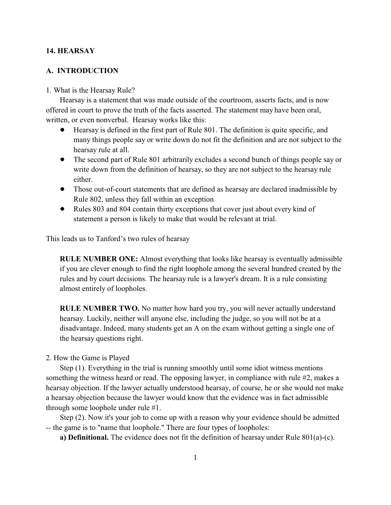## **14. HEARSAY**

# **A. INTRODUCTION**

#### 1. What is the Hearsay Rule?

Hearsay is a statement that was made outside of the courtroom, asserts facts, and is now offered in court to prove the truth of the facts asserted. The statement may have been oral, written, or even nonverbal. Hearsay works like this:

- ! Hearsay is defined in the first part of Rule 801. The definition is quite specific, and many things people say or write down do not fit the definition and are not subject to the hearsay rule at all.
- The second part of Rule 801 arbitrarily excludes a second bunch of things people say or write down from the definition of hearsay, so they are not subject to the hearsay rule either.
- ! Those out-of-court statements that are defined as hearsay are declared inadmissible by Rule 802, unless they fall within an exception
- Rules 803 and 804 contain thirty exceptions that cover just about every kind of statement a person is likely to make that would be relevant at trial.

This leads us to Tanford's two rules of hearsay

**RULE NUMBER ONE:** Almost everything that looks like hearsay is eventually admissible if you are clever enough to find the right loophole among the several hundred created by the rules and by court decisions. The hearsay rule is a lawyer's dream. It is a rule consisting almost entirely of loopholes.

**RULE NUMBER TWO.** No matter how hard you try, you will never actually understand hearsay. Luckily, neither will anyone else, including the judge, so you will not be at a disadvantage. Indeed, many students get an A on the exam without getting a single one of the hearsay questions right.

## 2. How the Game is Played

Step (1). Everything in the trial is running smoothly until some idiot witness mentions something the witness heard or read. The opposing lawyer, in compliance with rule #2, makes a hearsay objection. If the lawyer actually understood hearsay, of course, he or she would not make a hearsay objection because the lawyer would know that the evidence was in fact admissible through some loophole under rule #1.

Step (2). Now it's your job to come up with a reason why your evidence should be admitted -- the game is to "name that loophole." There are four types of loopholes:

**a) Definitional.** The evidence does not fit the definition of hearsay under Rule 801(a)-(c).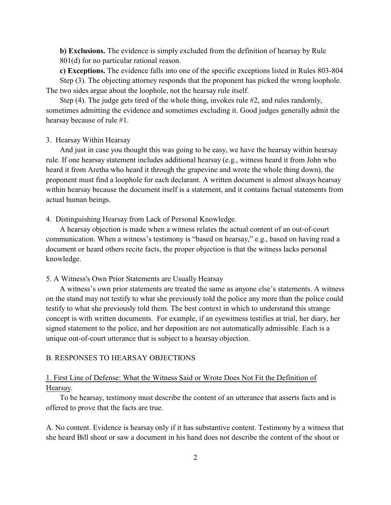**b) Exclusions.** The evidence is simply excluded from the definition of hearsay by Rule 801(d) for no particular rational reason.

**c) Exceptions.** The evidence falls into one of the specific exceptions listed in Rules 803-804 Step (3). The objecting attorney responds that the proponent has picked the wrong loophole. The two sides argue about the loophole, not the hearsay rule itself.

Step (4). The judge gets tired of the whole thing, invokes rule #2, and rules randomly, sometimes admitting the evidence and sometimes excluding it. Good judges generally admit the hearsay because of rule #1.

### 3. Hearsay Within Hearsay

And just in case you thought this was going to be easy, we have the hearsay within hearsay rule. If one hearsay statement includes additional hearsay (e.g., witness heard it from John who heard it from Aretha who heard it through the grapevine and wrote the whole thing down), the proponent must find a loophole for each declarant. A written document is almost always hearsay within hearsay because the document itself is a statement, and it contains factual statements from actual human beings.

4. Distinguishing Hearsay from Lack of Personal Knowledge.

A hearsay objection is made when a witness relates the actual content of an out-of-court communication. When a witness's testimony is "based on hearsay," e.g., based on having read a document or heard others recite facts, the proper objection is that the witness lacks personal knowledge.

#### 5. A Witness's Own Prior Statements are Usually Hearsay

A witness's own prior statements are treated the same as anyone else's statements. A witness on the stand may not testify to what she previously told the police any more than the police could testify to what she previously told them. The best context in which to understand this strange concept is with written documents. For example, if an eyewitness testifies at trial, her diary, her signed statement to the police, and her deposition are not automatically admissible. Each is a unique out-of-court utterance that is subject to a hearsay objection.

# B. RESPONSES TO HEARSAY OBJECTIONS

# 1. First Line of Defense: What the Witness Said or Wrote Does Not Fit the Definition of Hearsay.

To be hearsay, testimony must describe the content of an utterance that asserts facts and is offered to prove that the facts are true.

A. No content. Evidence is hearsay only if it has substantive content. Testimony by a witness that she heard Bill shout or saw a document in his hand does not describe the content of the shout or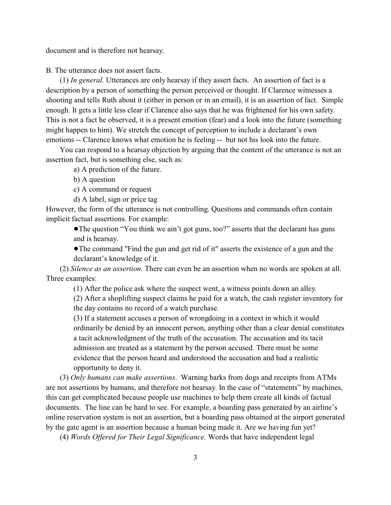document and is therefore not hearsay.

B. The utterance does not assert facts.

(1) *In general.* Utterances are only hearsay if they assert facts. An assertion of fact is a description by a person of something the person perceived or thought. If Clarence witnesses a shooting and tells Ruth about it (either in person or in an email), it is an assertion of fact. Simple enough. It gets a little less clear if Clarence also says that he was frightened for his own safety. This is not a fact he observed, it is a present emotion (fear) and a look into the future (something might happen to him). We stretch the concept of perception to include a declarant's own emotions -- Clarence knows what emotion he is feeling -- but not his look into the future.

You can respond to a hearsay objection by arguing that the content of the utterance is not an assertion fact, but is something else, such as:

a) A prediction of the future.

b) A question

c) A command or request

d) A label, sign or price tag

However, the form of the utterance is not controlling. Questions and commands often contain implicit factual assertions. For example:

!The question "You think we ain't got guns, too?" asserts that the declarant has guns and is hearsay.

!The command "Find the gun and get rid of it" asserts the existence of a gun and the declarant's knowledge of it.

(2) *Silence as an assertion.* There can even be an assertion when no words are spoken at all. Three examples:

(1) After the police ask where the suspect went, a witness points down an alley. (2) After a shoplifting suspect claims he paid for a watch, the cash register inventory for the day contains no record of a watch purchase.

(3) If a statement accuses a person of wrongdoing in a context in which it would ordinarily be denied by an innocent person, anything other than a clear denial constitutes a tacit acknowledgment of the truth of the accusation. The accusation and its tacit admission are treated as a statement by the person accused. There must be some evidence that the person heard and understood the accusation and had a realistic opportunity to deny it.

(3) *Only humans can make assertions*. Warning barks from dogs and receipts from ATMs are not assertions by humans, and therefore not hearsay. In the case of "statements" by machines, this can get complicated because people use machines to help them create all kinds of factual documents. The line can be hard to see. For example, a boarding pass generated by an airline's online reservation system is not an assertion, but a boarding pass obtained at the airport generated by the gate agent is an assertion because a human being made it. Are we having fun yet?

(4) *Words Offered for Their Legal Significance.* Words that have independent legal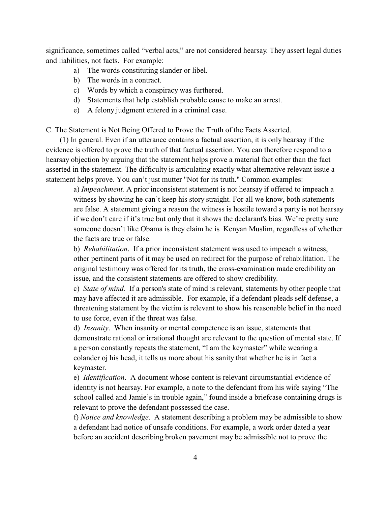significance, sometimes called "verbal acts," are not considered hearsay. They assert legal duties and liabilities, not facts. For example:

- a) The words constituting slander or libel.
- b) The words in a contract.
- c) Words by which a conspiracy was furthered.
- d) Statements that help establish probable cause to make an arrest.
- e) A felony judgment entered in a criminal case.

C. The Statement is Not Being Offered to Prove the Truth of the Facts Asserted.

(1) In general. Even if an utterance contains a factual assertion, it is only hearsay if the evidence is offered to prove the truth of that factual assertion. You can therefore respond to a hearsay objection by arguing that the statement helps prove a material fact other than the fact asserted in the statement. The difficulty is articulating exactly what alternative relevant issue a statement helps prove. You can't just mutter "Not for its truth." Common examples:

a) *Impeachment.* A prior inconsistent statement is not hearsay if offered to impeach a witness by showing he can't keep his story straight. For all we know, both statements are false. A statement giving a reason the witness is hostile toward a party is not hearsay if we don't care if it's true but only that it shows the declarant's bias. We're pretty sure someone doesn't like Obama is they claim he is Kenyan Muslim, regardless of whether the facts are true or false.

b) *Rehabilitation*. If a prior inconsistent statement was used to impeach a witness, other pertinent parts of it may be used on redirect for the purpose of rehabilitation. The original testimony was offered for its truth, the cross-examination made credibility an issue, and the consistent statements are offered to show credibility.

c) *State of mind.* If a person's state of mind is relevant, statements by other people that may have affected it are admissible. For example, if a defendant pleads self defense, a threatening statement by the victim is relevant to show his reasonable belief in the need to use force, even if the threat was false.

d) *Insanity*. When insanity or mental competence is an issue, statements that demonstrate rational or irrational thought are relevant to the question of mental state. If a person constantly repeats the statement, "I am the keymaster" while wearing a colander oj his head, it tells us more about his sanity that whether he is in fact a keymaster.

e) *Identification*. A document whose content is relevant circumstantial evidence of identity is not hearsay. For example, a note to the defendant from his wife saying "The school called and Jamie's in trouble again," found inside a briefcase containing drugs is relevant to prove the defendant possessed the case.

f) *Notice and knowledge*. A statement describing a problem may be admissible to show a defendant had notice of unsafe conditions. For example, a work order dated a year before an accident describing broken pavement may be admissible not to prove the